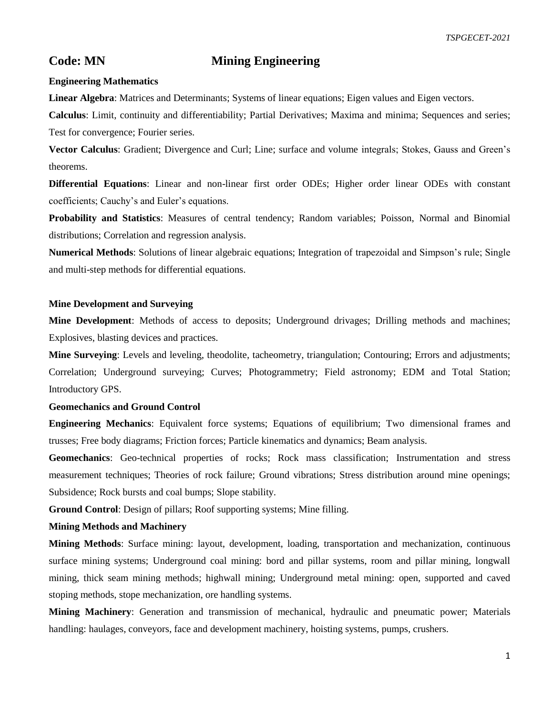# **Code: MN Mining Engineering**

## **Engineering Mathematics**

**Linear Algebra**: Matrices and Determinants; Systems of linear equations; Eigen values and Eigen vectors.

**Calculus**: Limit, continuity and differentiability; Partial Derivatives; Maxima and minima; Sequences and series; Test for convergence; Fourier series.

**Vector Calculus**: Gradient; Divergence and Curl; Line; surface and volume integrals; Stokes, Gauss and Green's theorems.

**Differential Equations**: Linear and non-linear first order ODEs; Higher order linear ODEs with constant coefficients; Cauchy's and Euler's equations.

**Probability and Statistics**: Measures of central tendency; Random variables; Poisson, Normal and Binomial distributions; Correlation and regression analysis.

**Numerical Methods**: Solutions of linear algebraic equations; Integration of trapezoidal and Simpson's rule; Single and multi-step methods for differential equations.

# **Mine Development and Surveying**

**Mine Development**: Methods of access to deposits; Underground drivages; Drilling methods and machines; Explosives, blasting devices and practices.

**Mine Surveying**: Levels and leveling, theodolite, tacheometry, triangulation; Contouring; Errors and adjustments; Correlation; Underground surveying; Curves; Photogrammetry; Field astronomy; EDM and Total Station; Introductory GPS.

# **Geomechanics and Ground Control**

**Engineering Mechanics**: Equivalent force systems; Equations of equilibrium; Two dimensional frames and trusses; Free body diagrams; Friction forces; Particle kinematics and dynamics; Beam analysis.

**Geomechanics**: Geo-technical properties of rocks; Rock mass classification; Instrumentation and stress measurement techniques; Theories of rock failure; Ground vibrations; Stress distribution around mine openings; Subsidence; Rock bursts and coal bumps; Slope stability.

**Ground Control**: Design of pillars; Roof supporting systems; Mine filling.

# **Mining Methods and Machinery**

**Mining Methods**: Surface mining: layout, development, loading, transportation and mechanization, continuous surface mining systems; Underground coal mining: bord and pillar systems, room and pillar mining, longwall mining, thick seam mining methods; highwall mining; Underground metal mining: open, supported and caved stoping methods, stope mechanization, ore handling systems.

**Mining Machinery**: Generation and transmission of mechanical, hydraulic and pneumatic power; Materials handling: haulages, conveyors, face and development machinery, hoisting systems, pumps, crushers.